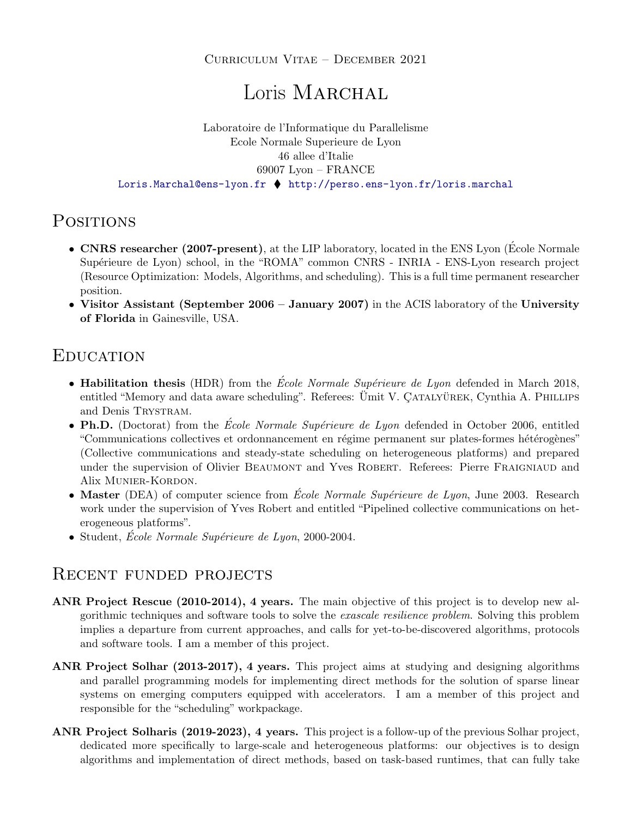### Curriculum Vitae – December 2021

# Loris MARCHAL

#### Laboratoire de l'Informatique du Parallelisme Ecole Normale Superieure de Lyon 46 allee d'Italie 69007 Lyon – FRANCE <Loris.Marchal@ens-lyon.fr> <http://perso.ens-lyon.fr/loris.marchal>

# **POSITIONS**

- CNRS researcher (2007-present), at the LIP laboratory, located in the ENS Lyon (École Normale Supérieure de Lyon) school, in the "ROMA" common CNRS - INRIA - ENS-Lyon research project (Resource Optimization: Models, Algorithms, and scheduling). This is a full time permanent researcher position.
- Visitor Assistant (September 2006 January 2007) in the ACIS laboratory of the University of Florida in Gainesville, USA.

# **EDUCATION**

- Habilitation thesis (HDR) from the *École Normale Supérieure de Lyon* defended in March 2018, entitled "Memory and data aware scheduling". Referees: Ümit V. ÇATALYÜREK, Cynthia A. PHILLIPS and Denis TRYSTRAM.
- Ph.D. (Doctorat) from the *École Normale Supérieure de Lyon* defended in October 2006, entitled "Communications collectives et ordonnancement en régime permanent sur plates-formes hétérogènes" (Collective communications and steady-state scheduling on heterogeneous platforms) and prepared under the supervision of Olivier BEAUMONT and Yves ROBERT. Referees: Pierre FRAIGNIAUD and Alix Munier-Kordon.
- Master (DEA) of computer science from  $\acute{E}cole Normale Supérieure de Lyon$ , June 2003. Research work under the supervision of Yves Robert and entitled "Pipelined collective communications on heterogeneous platforms".
- Student, Ecole Normale Supérieure de Lyon, 2000-2004.

### RECENT FUNDED PROJECTS

- ANR Project Rescue (2010-2014), 4 years. The main objective of this project is to develop new algorithmic techniques and software tools to solve the exascale resilience problem. Solving this problem implies a departure from current approaches, and calls for yet-to-be-discovered algorithms, protocols and software tools. I am a member of this project.
- ANR Project Solhar (2013-2017), 4 years. This project aims at studying and designing algorithms and parallel programming models for implementing direct methods for the solution of sparse linear systems on emerging computers equipped with accelerators. I am a member of this project and responsible for the "scheduling" workpackage.
- ANR Project Solharis (2019-2023), 4 years. This project is a follow-up of the previous Solhar project, dedicated more specifically to large-scale and heterogeneous platforms: our objectives is to design algorithms and implementation of direct methods, based on task-based runtimes, that can fully take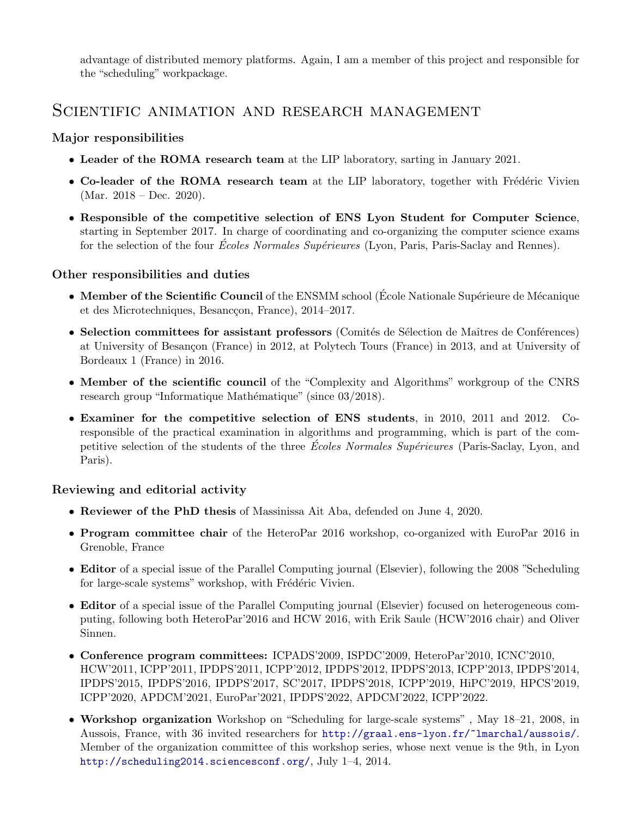advantage of distributed memory platforms. Again, I am a member of this project and responsible for the "scheduling" workpackage.

### SCIENTIFIC ANIMATION AND RESEARCH MANAGEMENT

### Major responsibilities

- Leader of the ROMA research team at the LIP laboratory, sarting in January 2021.
- Co-leader of the ROMA research team at the LIP laboratory, together with Frédéric Vivien  $(Mar. 2018 - Dec. 2020).$
- Responsible of the competitive selection of ENS Lyon Student for Computer Science, starting in September 2017. In charge of coordinating and co-organizing the computer science exams for the selection of the four *Écoles Normales Supérieures* (Lyon, Paris, Paris-Saclay and Rennes).

#### Other responsibilities and duties

- Member of the Scientific Council of the ENSMM school (École Nationale Supérieure de Mécanique et des Microtechniques, Besancçon, France), 2014–2017.
- Selection committees for assistant professors (Comités de Sélection de Maîtres de Conférences) at University of Besançon (France) in 2012, at Polytech Tours (France) in 2013, and at University of Bordeaux 1 (France) in 2016.
- Member of the scientific council of the "Complexity and Algorithms" workgroup of the CNRS research group "Informatique Mathématique" (since 03/2018).
- Examiner for the competitive selection of ENS students, in 2010, 2011 and 2012. Coresponsible of the practical examination in algorithms and programming, which is part of the competitive selection of the students of the three Ecoles Normales Supérieures (Paris-Saclay, Lyon, and Paris).

#### Reviewing and editorial activity

- Reviewer of the PhD thesis of Massinissa Ait Aba, defended on June 4, 2020.
- Program committee chair of the HeteroPar 2016 workshop, co-organized with EuroPar 2016 in Grenoble, France
- Editor of a special issue of the Parallel Computing journal (Elsevier), following the 2008 "Scheduling for large-scale systems" workshop, with Frédéric Vivien.
- Editor of a special issue of the Parallel Computing journal (Elsevier) focused on heterogeneous computing, following both HeteroPar'2016 and HCW 2016, with Erik Saule (HCW'2016 chair) and Oliver Sinnen.
- Conference program committees: ICPADS'2009, ISPDC'2009, HeteroPar'2010, ICNC'2010, HCW'2011, ICPP'2011, IPDPS'2011, ICPP'2012, IPDPS'2012, IPDPS'2013, ICPP'2013, IPDPS'2014, IPDPS'2015, IPDPS'2016, IPDPS'2017, SC'2017, IPDPS'2018, ICPP'2019, HiPC'2019, HPCS'2019, ICPP'2020, APDCM'2021, EuroPar'2021, IPDPS'2022, APDCM'2022, ICPP'2022.
- Workshop organization Workshop on "Scheduling for large-scale systems" , May 18–21, 2008, in Aussois, France, with 36 invited researchers for <http://graal.ens-lyon.fr/~lmarchal/aussois/>. Member of the organization committee of this workshop series, whose next venue is the 9th, in Lyon <http://scheduling2014.sciencesconf.org/>, July 1–4, 2014.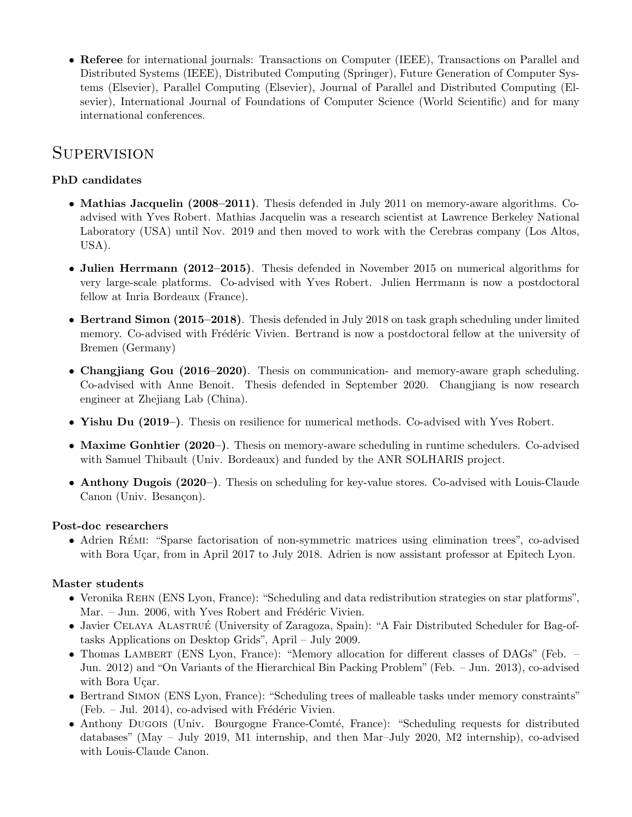• Referee for international journals: Transactions on Computer (IEEE), Transactions on Parallel and Distributed Systems (IEEE), Distributed Computing (Springer), Future Generation of Computer Systems (Elsevier), Parallel Computing (Elsevier), Journal of Parallel and Distributed Computing (Elsevier), International Journal of Foundations of Computer Science (World Scientific) and for many international conferences.

## **SUPERVISION**

### PhD candidates

- Mathias Jacquelin (2008–2011). Thesis defended in July 2011 on memory-aware algorithms. Coadvised with Yves Robert. Mathias Jacquelin was a research scientist at Lawrence Berkeley National Laboratory (USA) until Nov. 2019 and then moved to work with the Cerebras company (Los Altos, USA).
- Julien Herrmann (2012–2015). Thesis defended in November 2015 on numerical algorithms for very large-scale platforms. Co-advised with Yves Robert. Julien Herrmann is now a postdoctoral fellow at Inria Bordeaux (France).
- Bertrand Simon (2015–2018). Thesis defended in July 2018 on task graph scheduling under limited memory. Co-advised with Frédéric Vivien. Bertrand is now a postdoctoral fellow at the university of Bremen (Germany)
- Changjiang Gou (2016–2020). Thesis on communication- and memory-aware graph scheduling. Co-advised with Anne Benoit. Thesis defended in September 2020. Changjiang is now research engineer at Zhejiang Lab (China).
- Yishu Du (2019–). Thesis on resilience for numerical methods. Co-advised with Yves Robert.
- Maxime Gonhtier (2020–). Thesis on memory-aware scheduling in runtime schedulers. Co-advised with Samuel Thibault (Univ. Bordeaux) and funded by the ANR SOLHARIS project.
- Anthony Dugois (2020–). Thesis on scheduling for key-value stores. Co-advised with Louis-Claude Canon (Univ. Besançon).

#### Post-doc researchers

• Adrien REMI: "Sparse factorisation of non-symmetric matrices using elimination trees", co-advised with Bora Uçar, from in April 2017 to July 2018. Adrien is now assistant professor at Epitech Lyon.

#### Master students

- Veronika REHN (ENS Lyon, France): "Scheduling and data redistribution strategies on star platforms", Mar. – Jun. 2006, with Yves Robert and Frédéric Vivien.
- Javier CELAYA ALASTRUÉ (University of Zaragoza, Spain): "A Fair Distributed Scheduler for Bag-oftasks Applications on Desktop Grids", April – July 2009.
- Thomas LAMBERT (ENS Lyon, France): "Memory allocation for different classes of DAGs" (Feb. Jun. 2012) and "On Variants of the Hierarchical Bin Packing Problem" (Feb. – Jun. 2013), co-advised with Bora Uçar.
- Bertrand SIMON (ENS Lyon, France): "Scheduling trees of malleable tasks under memory constraints" (Feb.  $-$  Jul. 2014), co-advised with Frédéric Vivien.
- Anthony Dugois (Univ. Bourgogne France-Comté, France): "Scheduling requests for distributed databases" (May – July 2019, M1 internship, and then Mar–July 2020, M2 internship), co-advised with Louis-Claude Canon.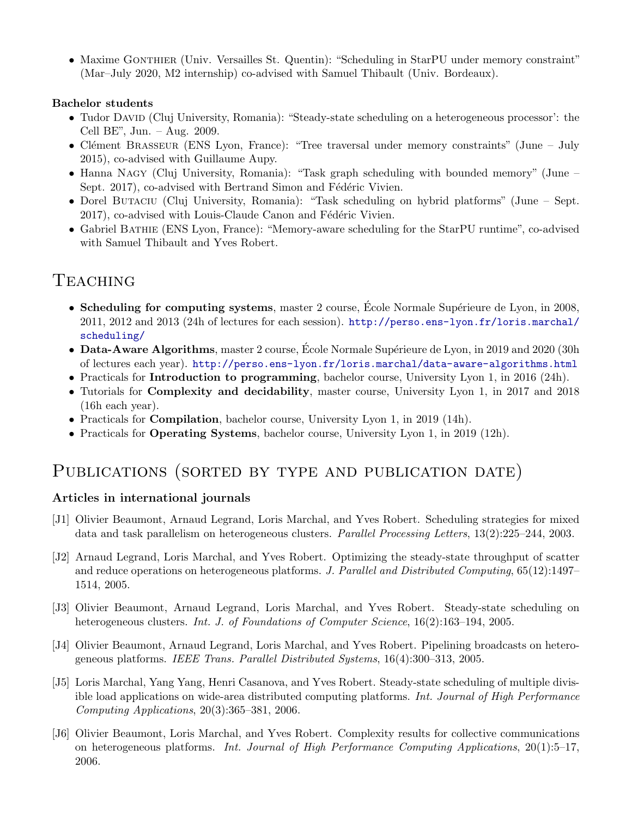• Maxime GONTHIER (Univ. Versailles St. Quentin): "Scheduling in StarPU under memory constraint" (Mar–July 2020, M2 internship) co-advised with Samuel Thibault (Univ. Bordeaux).

#### Bachelor students

- Tudor David (Cluj University, Romania): "Steady-state scheduling on a heterogeneous processor': the Cell BE", Jun. – Aug. 2009.
- Clément Brasseur (ENS Lyon, France): "Tree traversal under memory constraints" (June July 2015), co-advised with Guillaume Aupy.
- Hanna NAGY (Cluj University, Romania): "Task graph scheduling with bounded memory" (June Sept. 2017), co-advised with Bertrand Simon and Fédéric Vivien.
- Dorel BUTACIU (Cluj University, Romania): "Task scheduling on hybrid platforms" (June Sept. 2017), co-advised with Louis-Claude Canon and Fédéric Vivien.
- Gabriel BATHIE (ENS Lyon, France): "Memory-aware scheduling for the StarPU runtime", co-advised with Samuel Thibault and Yves Robert.

# **TEACHING**

- Scheduling for computing systems, master 2 course, Ecole Normale Supérieure de Lyon, in 2008, 2011, 2012 and 2013 (24h of lectures for each session). [http://perso.ens-lyon.fr/loris.marchal/](http://perso.ens-lyon.fr/loris.marchal/scheduling/) [scheduling/](http://perso.ens-lyon.fr/loris.marchal/scheduling/)
- Data-Aware Algorithms, master 2 course, Ecole Normale Supérieure de Lyon, in 2019 and 2020 (30h) of lectures each year). <http://perso.ens-lyon.fr/loris.marchal/data-aware-algorithms.html>
- Practicals for **Introduction to programming**, bachelor course, University Lyon 1, in 2016 (24h).
- Tutorials for **Complexity and decidability**, master course, University Lyon 1, in 2017 and 2018 (16h each year).
- Practicals for Compilation, bachelor course, University Lyon 1, in 2019 (14h).
- Practicals for **Operating Systems**, bachelor course, University Lyon 1, in 2019 (12h).

## PUBLICATIONS (SORTED BY TYPE AND PUBLICATION DATE)

### Articles in international journals

- [J1] Olivier Beaumont, Arnaud Legrand, Loris Marchal, and Yves Robert. Scheduling strategies for mixed data and task parallelism on heterogeneous clusters. Parallel Processing Letters, 13(2):225–244, 2003.
- [J2] Arnaud Legrand, Loris Marchal, and Yves Robert. Optimizing the steady-state throughput of scatter and reduce operations on heterogeneous platforms. J. Parallel and Distributed Computing, 65(12):1497– 1514, 2005.
- [J3] Olivier Beaumont, Arnaud Legrand, Loris Marchal, and Yves Robert. Steady-state scheduling on heterogeneous clusters. *Int. J. of Foundations of Computer Science*, 16(2):163–194, 2005.
- [J4] Olivier Beaumont, Arnaud Legrand, Loris Marchal, and Yves Robert. Pipelining broadcasts on heterogeneous platforms. IEEE Trans. Parallel Distributed Systems, 16(4):300–313, 2005.
- [J5] Loris Marchal, Yang Yang, Henri Casanova, and Yves Robert. Steady-state scheduling of multiple divisible load applications on wide-area distributed computing platforms. Int. Journal of High Performance Computing Applications,  $20(3):365-381$ ,  $2006$ .
- [J6] Olivier Beaumont, Loris Marchal, and Yves Robert. Complexity results for collective communications on heterogeneous platforms. Int. Journal of High Performance Computing Applications, 20(1):5–17, 2006.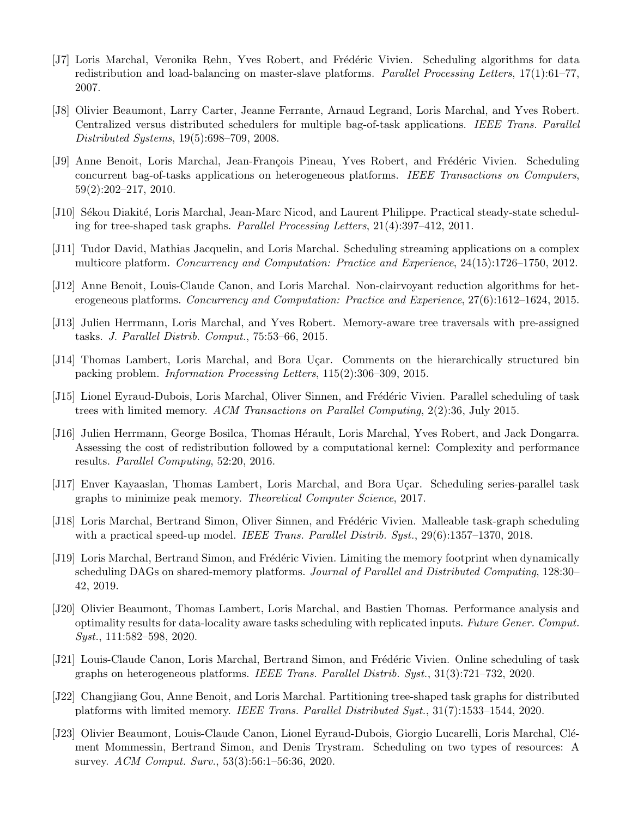- [J7] Loris Marchal, Veronika Rehn, Yves Robert, and Frédéric Vivien. Scheduling algorithms for data redistribution and load-balancing on master-slave platforms. Parallel Processing Letters, 17(1):61–77, 2007.
- [J8] Olivier Beaumont, Larry Carter, Jeanne Ferrante, Arnaud Legrand, Loris Marchal, and Yves Robert. Centralized versus distributed schedulers for multiple bag-of-task applications. IEEE Trans. Parallel Distributed Systems, 19(5):698–709, 2008.
- [J9] Anne Benoit, Loris Marchal, Jean-François Pineau, Yves Robert, and Frédéric Vivien. Scheduling concurrent bag-of-tasks applications on heterogeneous platforms. IEEE Transactions on Computers, 59(2):202–217, 2010.
- [J10] Sékou Diakité, Loris Marchal, Jean-Marc Nicod, and Laurent Philippe. Practical steady-state scheduling for tree-shaped task graphs. Parallel Processing Letters, 21(4):397–412, 2011.
- [J11] Tudor David, Mathias Jacquelin, and Loris Marchal. Scheduling streaming applications on a complex multicore platform. Concurrency and Computation: Practice and Experience, 24(15):1726–1750, 2012.
- [J12] Anne Benoit, Louis-Claude Canon, and Loris Marchal. Non-clairvoyant reduction algorithms for heterogeneous platforms. Concurrency and Computation: Practice and Experience, 27(6):1612–1624, 2015.
- [J13] Julien Herrmann, Loris Marchal, and Yves Robert. Memory-aware tree traversals with pre-assigned tasks. J. Parallel Distrib. Comput., 75:53–66, 2015.
- [J14] Thomas Lambert, Loris Marchal, and Bora Uçar. Comments on the hierarchically structured bin packing problem. Information Processing Letters, 115(2):306–309, 2015.
- [J15] Lionel Eyraud-Dubois, Loris Marchal, Oliver Sinnen, and Frédéric Vivien. Parallel scheduling of task trees with limited memory. ACM Transactions on Parallel Computing, 2(2):36, July 2015.
- [J16] Julien Herrmann, George Bosilca, Thomas Hérault, Loris Marchal, Yves Robert, and Jack Dongarra. Assessing the cost of redistribution followed by a computational kernel: Complexity and performance results. Parallel Computing, 52:20, 2016.
- [J17] Enver Kayaaslan, Thomas Lambert, Loris Marchal, and Bora Uçar. Scheduling series-parallel task graphs to minimize peak memory. Theoretical Computer Science, 2017.
- [J18] Loris Marchal, Bertrand Simon, Oliver Sinnen, and Frédéric Vivien. Malleable task-graph scheduling with a practical speed-up model. IEEE Trans. Parallel Distrib. Syst., 29(6):1357–1370, 2018.
- [J19] Loris Marchal, Bertrand Simon, and Frédéric Vivien. Limiting the memory footprint when dynamically scheduling DAGs on shared-memory platforms. Journal of Parallel and Distributed Computing, 128:30– 42, 2019.
- [J20] Olivier Beaumont, Thomas Lambert, Loris Marchal, and Bastien Thomas. Performance analysis and optimality results for data-locality aware tasks scheduling with replicated inputs. Future Gener. Comput. Syst., 111:582–598, 2020.
- [J21] Louis-Claude Canon, Loris Marchal, Bertrand Simon, and Frédéric Vivien. Online scheduling of task graphs on heterogeneous platforms. IEEE Trans. Parallel Distrib. Syst., 31(3):721–732, 2020.
- [J22] Changjiang Gou, Anne Benoit, and Loris Marchal. Partitioning tree-shaped task graphs for distributed platforms with limited memory. IEEE Trans. Parallel Distributed Syst., 31(7):1533–1544, 2020.
- [J23] Olivier Beaumont, Louis-Claude Canon, Lionel Eyraud-Dubois, Giorgio Lucarelli, Loris Marchal, Clément Mommessin, Bertrand Simon, and Denis Trystram. Scheduling on two types of resources: A survey. ACM Comput. Surv., 53(3):56:1–56:36, 2020.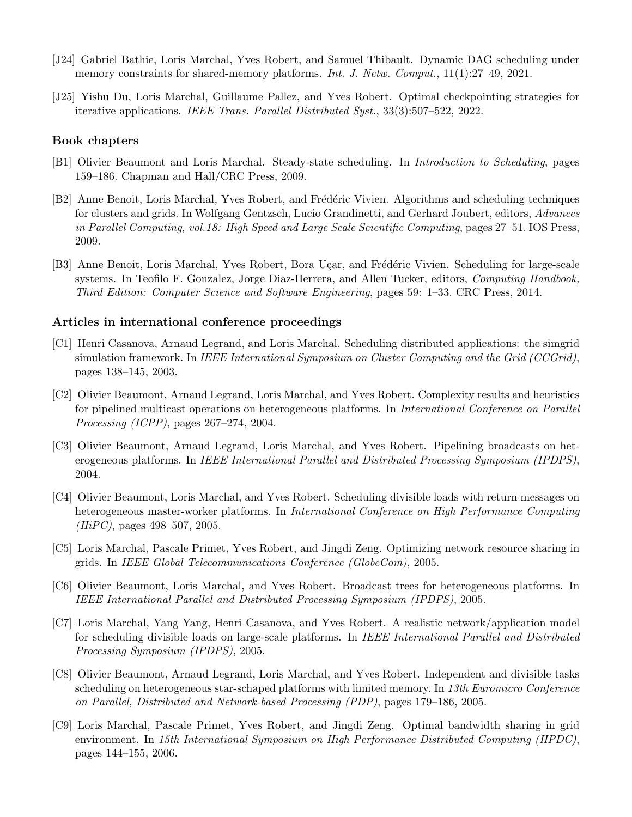- [J24] Gabriel Bathie, Loris Marchal, Yves Robert, and Samuel Thibault. Dynamic DAG scheduling under memory constraints for shared-memory platforms. *Int. J. Netw. Comput.*, 11(1):27–49, 2021.
- [J25] Yishu Du, Loris Marchal, Guillaume Pallez, and Yves Robert. Optimal checkpointing strategies for iterative applications. IEEE Trans. Parallel Distributed Syst., 33(3):507–522, 2022.

#### Book chapters

- [B1] Olivier Beaumont and Loris Marchal. Steady-state scheduling. In Introduction to Scheduling, pages 159–186. Chapman and Hall/CRC Press, 2009.
- [B2] Anne Benoit, Loris Marchal, Yves Robert, and Frédéric Vivien. Algorithms and scheduling techniques for clusters and grids. In Wolfgang Gentzsch, Lucio Grandinetti, and Gerhard Joubert, editors, Advances in Parallel Computing, vol.18: High Speed and Large Scale Scientific Computing, pages 27–51. IOS Press, 2009.
- [B3] Anne Benoit, Loris Marchal, Yves Robert, Bora Uçar, and Frédéric Vivien. Scheduling for large-scale systems. In Teofilo F. Gonzalez, Jorge Diaz-Herrera, and Allen Tucker, editors, Computing Handbook, Third Edition: Computer Science and Software Engineering, pages 59: 1–33. CRC Press, 2014.

#### Articles in international conference proceedings

- [C1] Henri Casanova, Arnaud Legrand, and Loris Marchal. Scheduling distributed applications: the simgrid simulation framework. In IEEE International Symposium on Cluster Computing and the Grid (CCGrid), pages 138–145, 2003.
- [C2] Olivier Beaumont, Arnaud Legrand, Loris Marchal, and Yves Robert. Complexity results and heuristics for pipelined multicast operations on heterogeneous platforms. In *International Conference on Parallel* Processing (ICPP), pages 267–274, 2004.
- [C3] Olivier Beaumont, Arnaud Legrand, Loris Marchal, and Yves Robert. Pipelining broadcasts on heterogeneous platforms. In IEEE International Parallel and Distributed Processing Symposium (IPDPS), 2004.
- [C4] Olivier Beaumont, Loris Marchal, and Yves Robert. Scheduling divisible loads with return messages on heterogeneous master-worker platforms. In International Conference on High Performance Computing  $(HiPC)$ , pages 498–507, 2005.
- [C5] Loris Marchal, Pascale Primet, Yves Robert, and Jingdi Zeng. Optimizing network resource sharing in grids. In IEEE Global Telecommunications Conference (GlobeCom), 2005.
- [C6] Olivier Beaumont, Loris Marchal, and Yves Robert. Broadcast trees for heterogeneous platforms. In IEEE International Parallel and Distributed Processing Symposium (IPDPS), 2005.
- [C7] Loris Marchal, Yang Yang, Henri Casanova, and Yves Robert. A realistic network/application model for scheduling divisible loads on large-scale platforms. In IEEE International Parallel and Distributed Processing Symposium (IPDPS), 2005.
- [C8] Olivier Beaumont, Arnaud Legrand, Loris Marchal, and Yves Robert. Independent and divisible tasks scheduling on heterogeneous star-schaped platforms with limited memory. In 13th Euromicro Conference on Parallel, Distributed and Network-based Processing (PDP), pages 179–186, 2005.
- [C9] Loris Marchal, Pascale Primet, Yves Robert, and Jingdi Zeng. Optimal bandwidth sharing in grid environment. In 15th International Symposium on High Performance Distributed Computing (HPDC), pages 144–155, 2006.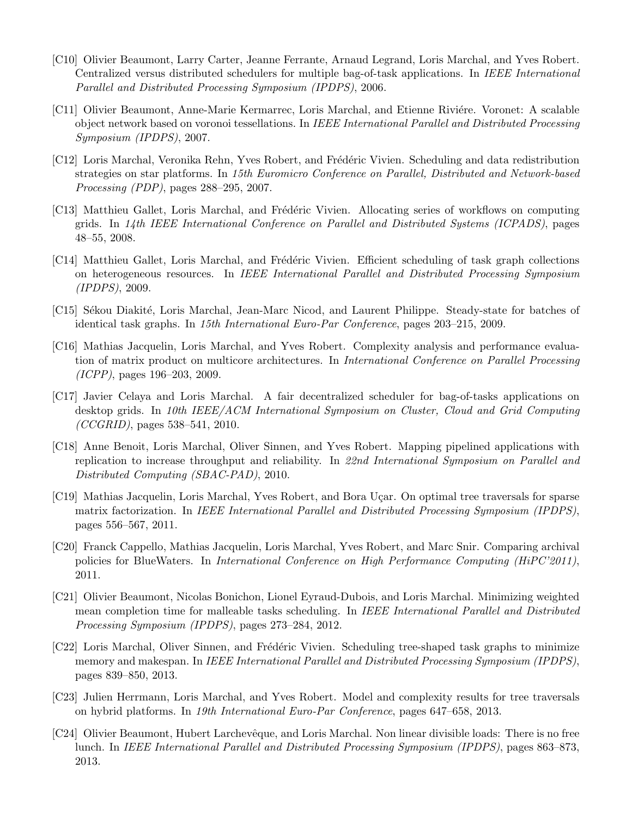- [C10] Olivier Beaumont, Larry Carter, Jeanne Ferrante, Arnaud Legrand, Loris Marchal, and Yves Robert. Centralized versus distributed schedulers for multiple bag-of-task applications. In IEEE International Parallel and Distributed Processing Symposium (IPDPS), 2006.
- [C11] Olivier Beaumont, Anne-Marie Kermarrec, Loris Marchal, and Etienne Riviére. Voronet: A scalable object network based on voronoi tessellations. In IEEE International Parallel and Distributed Processing Symposium (IPDPS), 2007.
- [C12] Loris Marchal, Veronika Rehn, Yves Robert, and Frédéric Vivien. Scheduling and data redistribution strategies on star platforms. In 15th Euromicro Conference on Parallel, Distributed and Network-based Processing (PDP), pages 288–295, 2007.
- [C13] Matthieu Gallet, Loris Marchal, and Frédéric Vivien. Allocating series of workflows on computing grids. In 14th IEEE International Conference on Parallel and Distributed Systems (ICPADS), pages 48–55, 2008.
- [C14] Matthieu Gallet, Loris Marchal, and Frédéric Vivien. Efficient scheduling of task graph collections on heterogeneous resources. In IEEE International Parallel and Distributed Processing Symposium (IPDPS), 2009.
- [C15] Sékou Diakité, Loris Marchal, Jean-Marc Nicod, and Laurent Philippe. Steady-state for batches of identical task graphs. In 15th International Euro-Par Conference, pages 203–215, 2009.
- [C16] Mathias Jacquelin, Loris Marchal, and Yves Robert. Complexity analysis and performance evaluation of matrix product on multicore architectures. In International Conference on Parallel Processing (ICPP), pages 196–203, 2009.
- [C17] Javier Celaya and Loris Marchal. A fair decentralized scheduler for bag-of-tasks applications on desktop grids. In 10th IEEE/ACM International Symposium on Cluster, Cloud and Grid Computing  $(CCGRID)$ , pages 538–541, 2010.
- [C18] Anne Benoit, Loris Marchal, Oliver Sinnen, and Yves Robert. Mapping pipelined applications with replication to increase throughput and reliability. In 22nd International Symposium on Parallel and Distributed Computing (SBAC-PAD), 2010.
- [C19] Mathias Jacquelin, Loris Marchal, Yves Robert, and Bora Uçar. On optimal tree traversals for sparse matrix factorization. In IEEE International Parallel and Distributed Processing Symposium (IPDPS), pages 556–567, 2011.
- [C20] Franck Cappello, Mathias Jacquelin, Loris Marchal, Yves Robert, and Marc Snir. Comparing archival policies for BlueWaters. In *International Conference on High Performance Computing (HiPC'2011)*, 2011.
- [C21] Olivier Beaumont, Nicolas Bonichon, Lionel Eyraud-Dubois, and Loris Marchal. Minimizing weighted mean completion time for malleable tasks scheduling. In IEEE International Parallel and Distributed Processing Symposium (IPDPS), pages 273–284, 2012.
- [C22] Loris Marchal, Oliver Sinnen, and Frédéric Vivien. Scheduling tree-shaped task graphs to minimize memory and makespan. In IEEE International Parallel and Distributed Processing Symposium (IPDPS), pages 839–850, 2013.
- [C23] Julien Herrmann, Loris Marchal, and Yves Robert. Model and complexity results for tree traversals on hybrid platforms. In 19th International Euro-Par Conference, pages 647–658, 2013.
- [C24] Olivier Beaumont, Hubert Larchevêque, and Loris Marchal. Non linear divisible loads: There is no free lunch. In IEEE International Parallel and Distributed Processing Symposium (IPDPS), pages 863–873, 2013.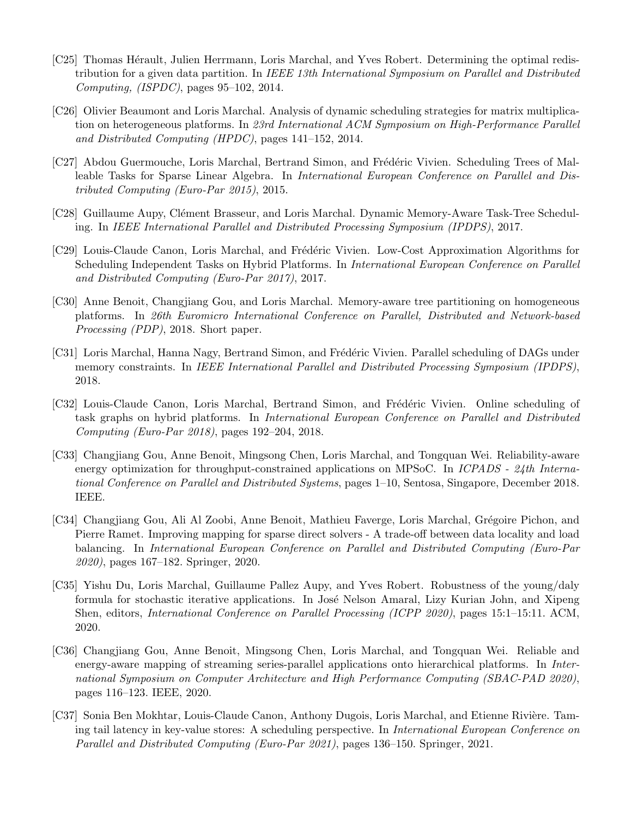- [C25] Thomas Hérault, Julien Herrmann, Loris Marchal, and Yves Robert. Determining the optimal redistribution for a given data partition. In IEEE 13th International Symposium on Parallel and Distributed Computing, (ISPDC), pages  $95-102$ , 2014.
- [C26] Olivier Beaumont and Loris Marchal. Analysis of dynamic scheduling strategies for matrix multiplication on heterogeneous platforms. In 23rd International ACM Symposium on High-Performance Parallel and Distributed Computing (HPDC), pages 141–152, 2014.
- [C27] Abdou Guermouche, Loris Marchal, Bertrand Simon, and Frédéric Vivien. Scheduling Trees of Malleable Tasks for Sparse Linear Algebra. In International European Conference on Parallel and Distributed Computing (Euro-Par 2015), 2015.
- [C28] Guillaume Aupy, Clément Brasseur, and Loris Marchal. Dynamic Memory-Aware Task-Tree Scheduling. In IEEE International Parallel and Distributed Processing Symposium (IPDPS), 2017.
- [C29] Louis-Claude Canon, Loris Marchal, and Frédéric Vivien. Low-Cost Approximation Algorithms for Scheduling Independent Tasks on Hybrid Platforms. In International European Conference on Parallel and Distributed Computing (Euro-Par 2017), 2017.
- [C30] Anne Benoit, Changjiang Gou, and Loris Marchal. Memory-aware tree partitioning on homogeneous platforms. In 26th Euromicro International Conference on Parallel, Distributed and Network-based Processing (PDP), 2018. Short paper.
- [C31] Loris Marchal, Hanna Nagy, Bertrand Simon, and Frédéric Vivien. Parallel scheduling of DAGs under memory constraints. In IEEE International Parallel and Distributed Processing Symposium (IPDPS), 2018.
- [C32] Louis-Claude Canon, Loris Marchal, Bertrand Simon, and Frédéric Vivien. Online scheduling of task graphs on hybrid platforms. In International European Conference on Parallel and Distributed Computing (Euro-Par 2018), pages 192–204, 2018.
- [C33] Changjiang Gou, Anne Benoit, Mingsong Chen, Loris Marchal, and Tongquan Wei. Reliability-aware energy optimization for throughput-constrained applications on MPSoC. In ICPADS - 24th International Conference on Parallel and Distributed Systems, pages 1–10, Sentosa, Singapore, December 2018. IEEE.
- [C34] Changjiang Gou, Ali Al Zoobi, Anne Benoit, Mathieu Faverge, Loris Marchal, Grégoire Pichon, and Pierre Ramet. Improving mapping for sparse direct solvers - A trade-off between data locality and load balancing. In International European Conference on Parallel and Distributed Computing (Euro-Par 2020), pages 167–182. Springer, 2020.
- [C35] Yishu Du, Loris Marchal, Guillaume Pallez Aupy, and Yves Robert. Robustness of the young/daly formula for stochastic iterative applications. In José Nelson Amaral, Lizy Kurian John, and Xipeng Shen, editors, International Conference on Parallel Processing (ICPP 2020), pages 15:1–15:11. ACM, 2020.
- [C36] Changjiang Gou, Anne Benoit, Mingsong Chen, Loris Marchal, and Tongquan Wei. Reliable and energy-aware mapping of streaming series-parallel applications onto hierarchical platforms. In *Inter*national Symposium on Computer Architecture and High Performance Computing (SBAC-PAD 2020), pages 116–123. IEEE, 2020.
- [C37] Sonia Ben Mokhtar, Louis-Claude Canon, Anthony Dugois, Loris Marchal, and Etienne Rivière. Taming tail latency in key-value stores: A scheduling perspective. In International European Conference on Parallel and Distributed Computing (Euro-Par 2021), pages 136–150. Springer, 2021.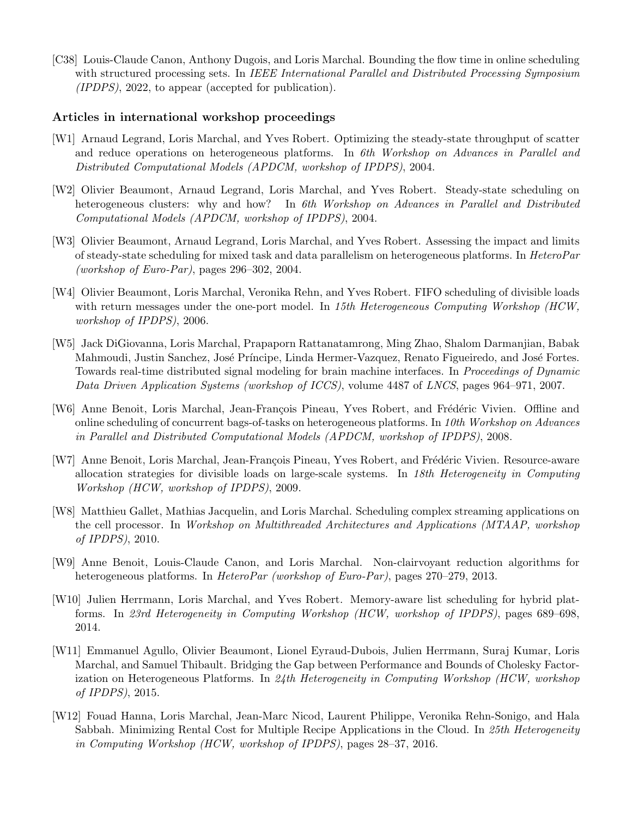[C38] Louis-Claude Canon, Anthony Dugois, and Loris Marchal. Bounding the flow time in online scheduling with structured processing sets. In IEEE International Parallel and Distributed Processing Symposium (IPDPS), 2022, to appear (accepted for publication).

#### Articles in international workshop proceedings

- [W1] Arnaud Legrand, Loris Marchal, and Yves Robert. Optimizing the steady-state throughput of scatter and reduce operations on heterogeneous platforms. In 6th Workshop on Advances in Parallel and Distributed Computational Models (APDCM, workshop of IPDPS), 2004.
- [W2] Olivier Beaumont, Arnaud Legrand, Loris Marchal, and Yves Robert. Steady-state scheduling on heterogeneous clusters: why and how? In 6th Workshop on Advances in Parallel and Distributed Computational Models (APDCM, workshop of IPDPS), 2004.
- [W3] Olivier Beaumont, Arnaud Legrand, Loris Marchal, and Yves Robert. Assessing the impact and limits of steady-state scheduling for mixed task and data parallelism on heterogeneous platforms. In HeteroPar (workshop of Euro-Par), pages  $296-302$ ,  $2004$ .
- [W4] Olivier Beaumont, Loris Marchal, Veronika Rehn, and Yves Robert. FIFO scheduling of divisible loads with return messages under the one-port model. In 15th Heterogeneous Computing Workshop (HCW, workshop of IPDPS), 2006.
- [W5] Jack DiGiovanna, Loris Marchal, Prapaporn Rattanatamrong, Ming Zhao, Shalom Darmanjian, Babak Mahmoudi, Justin Sanchez, José Príncipe, Linda Hermer-Vazquez, Renato Figueiredo, and José Fortes. Towards real-time distributed signal modeling for brain machine interfaces. In Proceedings of Dynamic Data Driven Application Systems (workshop of ICCS), volume 4487 of LNCS, pages 964–971, 2007.
- [W6] Anne Benoit, Loris Marchal, Jean-François Pineau, Yves Robert, and Frédéric Vivien. Offline and online scheduling of concurrent bags-of-tasks on heterogeneous platforms. In 10th Workshop on Advances in Parallel and Distributed Computational Models (APDCM, workshop of IPDPS), 2008.
- [W7] Anne Benoit, Loris Marchal, Jean-François Pineau, Yves Robert, and Frédéric Vivien. Resource-aware allocation strategies for divisible loads on large-scale systems. In 18th Heterogeneity in Computing Workshop (HCW, workshop of IPDPS), 2009.
- [W8] Matthieu Gallet, Mathias Jacquelin, and Loris Marchal. Scheduling complex streaming applications on the cell processor. In Workshop on Multithreaded Architectures and Applications (MTAAP, workshop of IPDPS), 2010.
- [W9] Anne Benoit, Louis-Claude Canon, and Loris Marchal. Non-clairvoyant reduction algorithms for heterogeneous platforms. In *HeteroPar (workshop of Euro-Par)*, pages 270–279, 2013.
- [W10] Julien Herrmann, Loris Marchal, and Yves Robert. Memory-aware list scheduling for hybrid platforms. In 23rd Heterogeneity in Computing Workshop (HCW, workshop of IPDPS), pages 689–698, 2014.
- [W11] Emmanuel Agullo, Olivier Beaumont, Lionel Eyraud-Dubois, Julien Herrmann, Suraj Kumar, Loris Marchal, and Samuel Thibault. Bridging the Gap between Performance and Bounds of Cholesky Factorization on Heterogeneous Platforms. In 24th Heterogeneity in Computing Workshop (HCW, workshop of IPDPS), 2015.
- [W12] Fouad Hanna, Loris Marchal, Jean-Marc Nicod, Laurent Philippe, Veronika Rehn-Sonigo, and Hala Sabbah. Minimizing Rental Cost for Multiple Recipe Applications in the Cloud. In 25th Heterogeneity in Computing Workshop (HCW, workshop of IPDPS), pages 28–37, 2016.